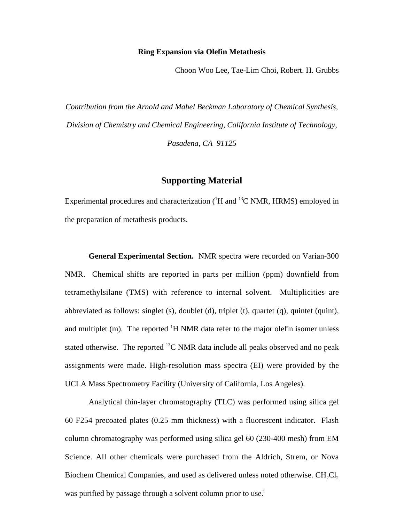## **Ring Expansion via Olefin Metathesis**

Choon Woo Lee, Tae-Lim Choi, Robert. H. Grubbs

*Contribution from the Arnold and Mabel Beckman Laboratory of Chemical Synthesis, Division of Chemistry and Chemical Engineering, California Institute of Technology, Pasadena, CA 91125*

## **Supporting Material**

Experimental procedures and characterization  $(^1H$  and  $^{13}C$  NMR, HRMS) employed in the preparation of metathesis products.

**General Experimental Section.** NMR spectra were recorded on Varian-300 NMR. Chemical shifts are reported in parts per million (ppm) downfield from tetramethylsilane (TMS) with reference to internal solvent. Multiplicities are abbreviated as follows: singlet (s), doublet (d), triplet (t), quartet (q), quintet (quint), and multiplet (m). The reported <sup>1</sup>H NMR data refer to the major olefin isomer unless stated otherwise. The reported  ${}^{13}C$  NMR data include all peaks observed and no peak assignments were made. High-resolution mass spectra (EI) were provided by the UCLA Mass Spectrometry Facility (University of California, Los Angeles).

Analytical thin-layer chromatography (TLC) was performed using silica gel 60 F254 precoated plates (0.25 mm thickness) with a fluorescent indicator. Flash column chromatography was performed using silica gel 60 (230-400 mesh) from EM Science. All other chemicals were purchased from the Aldrich, Strem, or Nova Biochem Chemical Companies, and used as delivered unless noted otherwise.  $CH_2Cl_2$ was purified by passage through a solvent column prior to use.<sup>i</sup>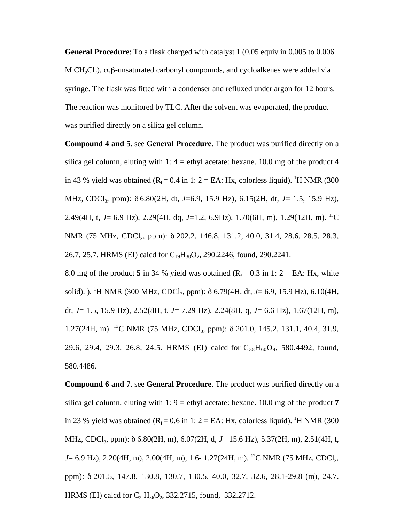**General Procedure**: To a flask charged with catalyst **1** (0.05 equiv in 0.005 to 0.006 M CH<sub>2</sub>Cl<sub>2</sub>),  $\alpha$ , $\beta$ -unsaturated carbonyl compounds, and cycloalkenes were added via syringe. The flask was fitted with a condenser and refluxed under argon for 12 hours. The reaction was monitored by TLC. After the solvent was evaporated, the product was purified directly on a silica gel column.

**Compound 4 and 5**. see **General Procedure**. The product was purified directly on a silica gel column, eluting with  $1: 4 =$  ethyl acetate: hexane. 10.0 mg of the product 4 in 43 % yield was obtained ( $R_f = 0.4$  in 1: 2 = EA: Hx, colorless liquid). <sup>1</sup>H NMR (300 MHz, CDCl3, ppm): δ 6.80(2H, dt, *J*=6.9, 15.9 Hz), 6.15(2H, dt, *J*= 1.5, 15.9 Hz), 2.49(4H, t, *J*= 6.9 Hz), 2.29(4H, dq, *J*=1.2, 6.9Hz), 1.70(6H, m), 1.29(12H, m). 13C NMR (75 MHz, CDCl<sub>3</sub>, ppm): δ 202.2, 146.8, 131.2, 40.0, 31.4, 28.6, 28.5, 28.3, 26.7, 25.7. HRMS (EI) calcd for  $C_{19}H_{30}O_2$ , 290.2246, found, 290.2241.

8.0 mg of the product 5 in 34 % yield was obtained  $(R_f = 0.3$  in 1: 2 = EA: Hx, white solid). ). <sup>1</sup>H NMR (300 MHz, CDCl<sub>3</sub>, ppm): δ 6.79(4H, dt, *J*= 6.9, 15.9 Hz), 6.10(4H, dt, *J*= 1.5, 15.9 Hz), 2.52(8H, t, *J*= 7.29 Hz), 2.24(8H, q, *J*= 6.6 Hz), 1.67(12H, m), 1.27(24H, m). <sup>13</sup>C NMR (75 MHz, CDCl<sub>3</sub>, ppm):  $\delta$  201.0, 145.2, 131.1, 40.4, 31.9, 29.6, 29.4, 29.3, 26.8, 24.5. HRMS (EI) calcd for  $C_{38}H_{60}O_4$ , 580.4492, found, 580.4486.

**Compound 6 and 7**. see **General Procedure**. The product was purified directly on a silica gel column, eluting with 1:  $9 = \text{ethyl acetate: hexane. } 10.0 \text{ mg of the product } 7$ in 23 % yield was obtained ( $R_f = 0.6$  in 1: 2 = EA: Hx, colorless liquid). <sup>1</sup>H NMR (300 MHz, CDCl<sub>3</sub>, ppm): δ 6.80(2H, m), 6.07(2H, d, *J*= 15.6 Hz), 5.37(2H, m), 2.51(4H, t, *J*= 6.9 Hz), 2.20(4H, m), 2.00(4H, m), 1.6- 1.27(24H, m). <sup>13</sup>C NMR (75 MHz, CDCl<sub>3</sub>, ppm): δ 201.5, 147.8, 130.8, 130.7, 130.5, 40.0, 32.7, 32.6, 28.1-29.8 (m), 24.7. HRMS (EI) calcd for  $C_{22}H_{36}O_2$ , 332.2715, found, 332.2712.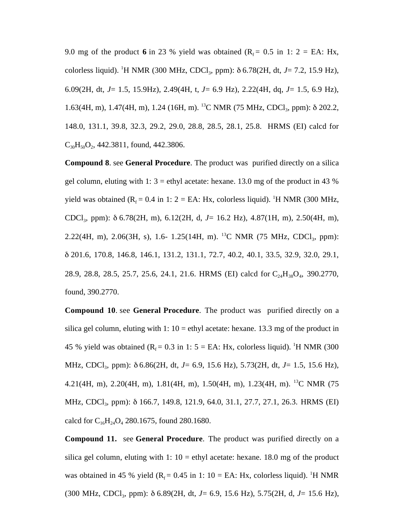9.0 mg of the product 6 in 23 % yield was obtained  $(R_f = 0.5$  in 1: 2 = EA: Hx, colorless liquid). <sup>1</sup>H NMR (300 MHz, CDCl<sub>3</sub>, ppm): δ 6.78(2H, dt, *J*= 7.2, 15.9 Hz), 6.09(2H, dt, *J*= 1.5, 15.9Hz), 2.49(4H, t, *J*= 6.9 Hz), 2.22(4H, dq, *J*= 1.5, 6.9 Hz), 1.63(4H, m), 1.47(4H, m), 1.24 (16H, m). <sup>13</sup>C NMR (75 MHz, CDCl<sub>3</sub>, ppm): δ 202.2, 148.0, 131.1, 39.8, 32.3, 29.2, 29.0, 28.8, 28.5, 28.1, 25.8. HRMS (EI) calcd for  $C_{30}H_{50}O_2$ , 442.3811, found, 442.3806.

**Compound 8**. see **General Procedure**. The product was purified directly on a silica gel column, eluting with 1:  $3 =$  ethyl acetate: hexane. 13.0 mg of the product in 43 % yield was obtained  $(R_f = 0.4$  in 1: 2 = EA: Hx, colorless liquid). <sup>1</sup>H NMR (300 MHz, CDCl3, ppm): δ 6.78(2H, m), 6.12(2H, d, *J*= 16.2 Hz), 4.87(1H, m), 2.50(4H, m), 2.22(4H, m), 2.06(3H, s), 1.6- 1.25(14H, m). <sup>13</sup>C NMR (75 MHz, CDCl<sub>3</sub>, ppm): δ 201.6, 170.8, 146.8, 146.1, 131.2, 131.1, 72.7, 40.2, 40.1, 33.5, 32.9, 32.0, 29.1, 28.9, 28.8, 28.5, 25.7, 25.6, 24.1, 21.6. HRMS (EI) calcd for C<sub>24</sub>H<sub>38</sub>O<sub>4</sub>, 390.2770, found, 390.2770.

**Compound 10**. see **General Procedure**. The product was purified directly on a silica gel column, eluting with 1:  $10 =$  ethyl acetate: hexane. 13.3 mg of the product in 45 % yield was obtained ( $R_f = 0.3$  in 1:  $5 = EA$ : Hx, colorless liquid). <sup>1</sup>H NMR (300 MHz, CDCl3, ppm): δ 6.86(2H, dt, *J*= 6.9, 15.6 Hz), 5.73(2H, dt, *J*= 1.5, 15.6 Hz), 4.21(4H, m), 2.20(4H, m), 1.81(4H, m), 1.50(4H, m), 1.23(4H, m). 13C NMR (75 MHz, CDCl<sub>3</sub>, ppm): δ 166.7, 149.8, 121.9, 64.0, 31.1, 27.7, 27.1, 26.3. HRMS (EI) calcd for  $C_{16}H_{24}O_4$  280.1675, found 280.1680.

**Compound 11.** see **General Procedure**. The product was purified directly on a silica gel column, eluting with  $1: 10 =$  ethyl acetate: hexane. 18.0 mg of the product was obtained in 45 % yield ( $R_f = 0.45$  in 1: 10 = EA: Hx, colorless liquid). <sup>1</sup>H NMR (300 MHz, CDCl3, ppm): δ 6.89(2H, dt, *J*= 6.9, 15.6 Hz), 5.75(2H, d, *J*= 15.6 Hz),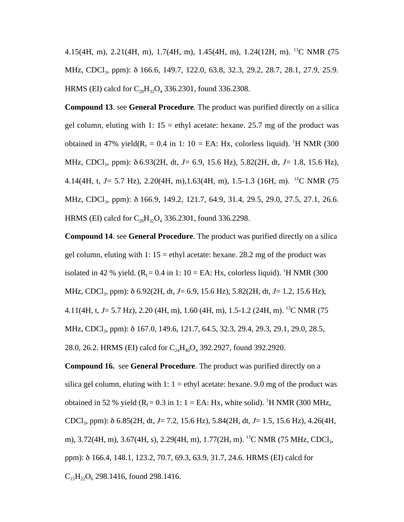4.15(4H, m), 2.21(4H, m), 1.7(4H, m), 1.45(4H, m), 1.24(12H, m). 13C NMR (75 MHz, CDCl<sub>3</sub>, ppm): δ 166.6, 149.7, 122.0, 63.8, 32.3, 29.2, 28.7, 28.1, 27.9, 25.9. HRMS (EI) calcd for  $C_{20}H_{32}O_4$  336.2301, found 336.2308.

**Compound 13**. see **General Procedure**. The product was purified directly on a silica gel column, eluting with 1:  $15 =$  ethyl acetate: hexane. 25.7 mg of the product was obtained in 47% yield( $R_f = 0.4$  in 1: 10 = EA: Hx, colorless liquid). <sup>1</sup>H NMR (300 MHz, CDCl3, ppm): δ 6.93(2H, dt, *J*= 6.9, 15.6 Hz), 5.82(2H, dt, *J*= 1.8, 15.6 Hz), 4.14(4H, t, *J*= 5.7 Hz), 2.20(4H, m),1.63(4H, m), 1.5-1.3 (16H, m). 13C NMR (75 MHz, CDCl<sub>3</sub>, ppm): δ 166.9, 149.2, 121.7, 64.9, 31.4, 29.5, 29.0, 27.5, 27.1, 26.6. HRMS (EI) calcd for  $C_{20}H_{32}O_{4}$  336.2301, found 336.2298.

**Compound 14**. see **General Procedure**. The product was purified directly on a silica gel column, eluting with 1:  $15 =$  ethyl acetate: hexane. 28.2 mg of the product was isolated in 42 % yield. ( $R_f = 0.4$  in 1: 10 = EA: Hx, colorless liquid). <sup>1</sup>H NMR (300 MHz, CDCl3, ppm): δ 6.92(2H, dt, *J*= 6.9, 15.6 Hz), 5.82(2H, dt, *J*= 1.2, 15.6 Hz), 4.11(4H, t, *J*= 5.7 Hz), 2.20 (4H, m), 1.60 (4H, m), 1.5-1.2 (24H, m). 13C NMR (75 MHz, CDCl<sub>3</sub>, ppm): δ 167.0, 149.6, 121.7, 64.5, 32.3, 29.4, 29.3, 29.1, 29.0, 28.5, 28.0, 26.2. HRMS (EI) calcd for  $C_{24}H_{40}O_4$  392.2927, found 392.2920.

**Compound 16.** see **General Procedure**. The product was purified directly on a silica gel column, eluting with 1:  $1 =$  ethyl acetate: hexane. 9.0 mg of the product was obtained in 52 % yield  $(R_f = 0.3$  in 1: 1 = EA: Hx, white solid). <sup>1</sup>H NMR (300 MHz, CDCl3, ppm): δ 6.85(2H, dt, *J*= 7.2, 15.6 Hz), 5.84(2H, dt, *J*= 1.5, 15.6 Hz), 4.26(4H, m),  $3.72(4H, m)$ ,  $3.67(4H, s)$ ,  $2.29(4H, m)$ ,  $1.77(2H, m)$ . <sup>13</sup>C NMR (75 MHz, CDCl<sub>3</sub>, ppm): δ 166.4, 148.1, 123.2, 70.7, 69.3, 63.9, 31.7, 24.6. HRMS (EI) calcd for  $C_{15}H_{22}O_6$  298.1416, found 298.1416.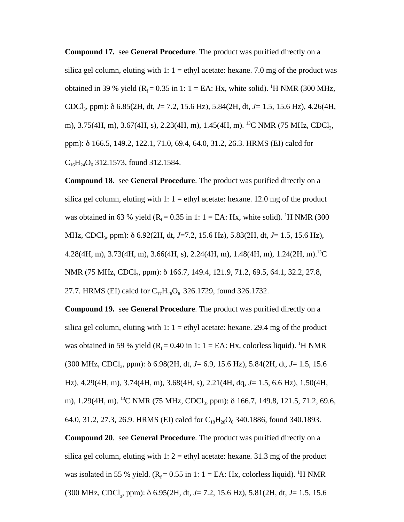**Compound 17.** see **General Procedure**. The product was purified directly on a silica gel column, eluting with 1:  $1 =$  ethyl acetate: hexane. 7.0 mg of the product was obtained in 39 % yield ( $R_f = 0.35$  in 1: 1 = EA: Hx, white solid). <sup>1</sup>H NMR (300 MHz, CDCl3, ppm): δ 6.85(2H, dt, *J*= 7.2, 15.6 Hz), 5.84(2H, dt, *J*= 1.5, 15.6 Hz), 4.26(4H, m), 3.75(4H, m), 3.67(4H, s), 2.23(4H, m), 1.45(4H, m). <sup>13</sup>C NMR (75 MHz, CDCl<sub>3</sub>, ppm): δ 166.5, 149.2, 122.1, 71.0, 69.4, 64.0, 31.2, 26.3. HRMS (EI) calcd for  $C_{16}H_{24}O_6$  312.1573, found 312.1584.

**Compound 18.** see **General Procedure**. The product was purified directly on a silica gel column, eluting with 1:  $1 =$  ethyl acetate: hexane. 12.0 mg of the product was obtained in 63 % yield ( $R_f = 0.35$  in 1: 1 = EA: Hx, white solid). <sup>1</sup>H NMR (300 MHz, CDCl3, ppm): δ 6.92(2H, dt, *J*=7.2, 15.6 Hz), 5.83(2H, dt, *J*= 1.5, 15.6 Hz), 4.28(4H, m), 3.73(4H, m), 3.66(4H, s), 2.24(4H, m), 1.48(4H, m), 1.24(2H, m).<sup>13</sup>C NMR (75 MHz, CDCl<sub>3</sub>, ppm): δ 166.7, 149.4, 121.9, 71.2, 69.5, 64.1, 32.2, 27.8, 27.7. HRMS (EI) calcd for  $C_{17}H_{26}O_6$  326.1729, found 326.1732.

**Compound 19.** see **General Procedure**. The product was purified directly on a silica gel column, eluting with 1:  $1 =$  ethyl acetate: hexane. 29.4 mg of the product was obtained in 59 % yield  $(R_f = 0.40$  in 1:  $1 = EA$ : Hx, colorless liquid). <sup>1</sup>H NMR (300 MHz, CDCl3, ppm): δ 6.98(2H, dt, *J*= 6.9, 15.6 Hz), 5.84(2H, dt, *J*= 1.5, 15.6 Hz), 4.29(4H, m), 3.74(4H, m), 3.68(4H, s), 2.21(4H, dq, *J*= 1.5, 6.6 Hz), 1.50(4H, m), 1.29(4H, m). <sup>13</sup>C NMR (75 MHz, CDCl<sub>3</sub>, ppm): δ 166.7, 149.8, 121.5, 71.2, 69.6, 64.0, 31.2, 27.3, 26.9. HRMS (EI) calcd for  $C_{18}H_{28}O_6$  340.1886, found 340.1893.

**Compound 20**. see **General Procedure**. The product was purified directly on a silica gel column, eluting with  $1: 2 =$  ethyl acetate: hexane. 31.3 mg of the product was isolated in 55 % yield.  $(R_f = 0.55$  in 1: 1 = EA: Hx, colorless liquid). <sup>1</sup>H NMR (300 MHz, CDCl<sub>3</sub>, ppm): δ 6.95(2H, dt, *J*= 7.2, 15.6 Hz), 5.81(2H, dt, *J*= 1.5, 15.6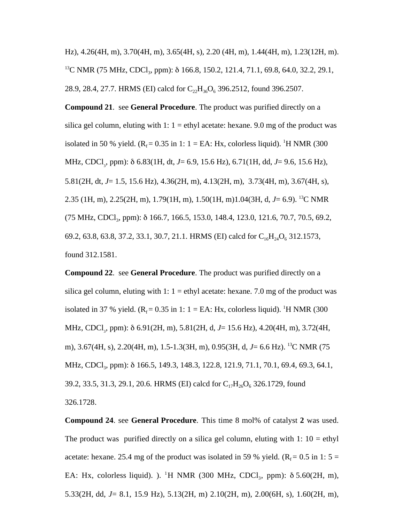Hz), 4.26(4H, m), 3.70(4H, m), 3.65(4H, s), 2.20 (4H, m), 1.44(4H, m), 1.23(12H, m). <sup>13</sup>C NMR (75 MHz, CDCl<sub>3</sub>, ppm): δ 166.8, 150.2, 121.4, 71.1, 69.8, 64.0, 32.2, 29.1, 28.9, 28.4, 27.7. HRMS (EI) calcd for  $C_{22}H_{36}O_6$  396.2512, found 396.2507.

**Compound 21**. see **General Procedure**. The product was purified directly on a silica gel column, eluting with  $1: 1 =$  ethyl acetate: hexane. 9.0 mg of the product was isolated in 50 % yield.  $(R_f = 0.35$  in 1: 1 = EA: Hx, colorless liquid). <sup>1</sup>H NMR (300 MHz, CDCl<sub>3</sub>, ppm): δ 6.83(1H, dt, *J*= 6.9, 15.6 Hz), 6.71(1H, dd, *J*= 9.6, 15.6 Hz), 5.81(2H, dt, *J*= 1.5, 15.6 Hz), 4.36(2H, m), 4.13(2H, m), 3.73(4H, m), 3.67(4H, s), 2.35 (1H, m), 2.25(2H, m), 1.79(1H, m), 1.50(1H, m)1.04(3H, d, *J*= 6.9). 13C NMR (75 MHz, CDCl<sub>3</sub>, ppm): δ 166.7, 166.5, 153.0, 148.4, 123.0, 121.6, 70.7, 70.5, 69.2, 69.2, 63.8, 63.8, 37.2, 33.1, 30.7, 21.1. HRMS (EI) calcd for  $C_{16}H_{24}O_6$  312.1573, found 312.1581.

**Compound 22**. see **General Procedure**. The product was purified directly on a silica gel column, eluting with  $1: 1 =$  ethyl acetate: hexane. 7.0 mg of the product was isolated in 37 % yield. ( $R_f = 0.35$  in 1: 1 = EA: Hx, colorless liquid). <sup>1</sup>H NMR (300 MHz, CDCl<sub>3</sub>, ppm): δ 6.91(2H, m), 5.81(2H, d, *J*= 15.6 Hz), 4.20(4H, m), 3.72(4H, m), 3.67(4H, s), 2.20(4H, m), 1.5-1.3(3H, m), 0.95(3H, d, *J*= 6.6 Hz). 13C NMR (75 MHz, CDCl<sub>3</sub>, ppm): δ 166.5, 149.3, 148.3, 122.8, 121.9, 71.1, 70.1, 69.4, 69.3, 64.1, 39.2, 33.5, 31.3, 29.1, 20.6. HRMS (EI) calcd for  $C_{17}H_{26}O_6$  326.1729, found 326.1728.

**Compound 24**. see **General Procedure**. This time 8 mol% of catalyst **2** was used. The product was purified directly on a silica gel column, eluting with  $1: 10 = \text{ethyl}$ acetate: hexane. 25.4 mg of the product was isolated in 59 % yield. ( $R_f = 0.5$  in 1: 5 = EA: Hx, colorless liquid). ). <sup>1</sup>H NMR (300 MHz, CDCl<sub>3</sub>, ppm):  $\delta$  5.60(2H, m), 5.33(2H, dd, *J*= 8.1, 15.9 Hz), 5.13(2H, m) 2.10(2H, m), 2.00(6H, s), 1.60(2H, m),